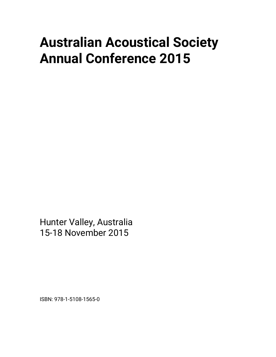## **Australian Acoustical Society Annual Conference 2015**

Hunter Valley, Australia 15-18 November 2015

ISBN: 978-1-5108-1565-0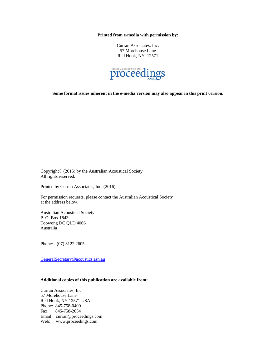**Printed from e-media with permission by:** 

Curran Associates, Inc. 57 Morehouse Lane Red Hook, NY 12571



**Some format issues inherent in the e-media version may also appear in this print version.** 

Copyright© (2015) by the Australian Acoustical Society All rights reserved.

Printed by Curran Associates, Inc. (2016)

For permission requests, please contact the Australian Acoustical Society at the address below.

Australian Acoustical Society P. O. Box 1843 Toowong DC QLD 4066 Australia

Phone: (07) 3122 2605

GeneralSecretary@acoustics.asn.au

## **Additional copies of this publication are available from:**

Curran Associates, Inc. 57 Morehouse Lane Red Hook, NY 12571 USA Phone: 845-758-0400 Fax: 845-758-2634 Email: curran@proceedings.com Web: www.proceedings.com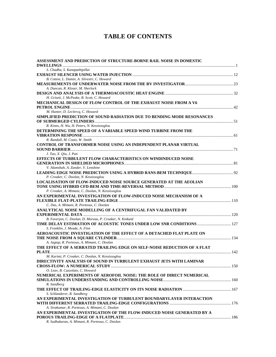## **TABLE OF CONTENTS**

| ASSESSMENT AND PREDICTION OF STRUCTURE-BORNE RAIL NOISE IN DOMESTIC       |  |
|---------------------------------------------------------------------------|--|
|                                                                           |  |
| S. Chadha, S. Kanapathipillai                                             |  |
|                                                                           |  |
| B. Cotton, L. Damin, A. Silvestri, C. Howard                              |  |
|                                                                           |  |
| A. Duncan, R. Kloser, M. Sherlock                                         |  |
|                                                                           |  |
| H. Griseti, J. McPeake, B. Scott, C. Howard                               |  |
| MECHANICAL DESIGN OF FLOW CONTROL OF THE EXHAUST NOISE FROM A V6          |  |
|                                                                           |  |
| M. Hunter, D. Leclercq, C. Howard                                         |  |
| SIMPLIFIED PREDICTION OF SOUND RADIATION DUE TO BENDING MODE RESONANCES   |  |
|                                                                           |  |
| R. Kinns, H. Wu, H. Peters, N. Kessissoglou                               |  |
| DETERMINING THE SPEED OF A VARIABLE SPEED WIND TURBINE FROM THE           |  |
|                                                                           |  |
| R. Randall, M. Coats, W. Smith                                            |  |
| CONTROL OF TRANSFORMER NOISE USING AN INDEPENDENT PLANAR VIRTUAL          |  |
|                                                                           |  |
| J. Tao, X. Qiu, J. Pan                                                    |  |
| EFFECTS OF TURBULENT FLOW CHARACTERISTICS ON WINDINDUCED NOISE            |  |
|                                                                           |  |
| V. Alamshah, A. Zander, V. Lenshine                                       |  |
|                                                                           |  |
| P. Croaker, C. Doolan, N. Kessissoglou                                    |  |
| <b>LOCALISATION OF FLOW-INDUCED NOISE SOURCE GENERATED AT THE AEOLIAN</b> |  |
|                                                                           |  |
| P. Croaker, A. Mimani, C. Doolan, N. Kessissoglou                         |  |
| AN EXPERIMENTAL INVESTIGATION OF FLOW-INDUCED NOISE MECHANISM OF A        |  |
| C. Das, A. Mimani, R. Porteous, C. Doolan                                 |  |
| ANALYTICAL NOISE MODELLING OF A CENTRIFUGAL FAN VALIDATED BY              |  |
|                                                                           |  |
| B. Faverjon, C. Doolan, D. Moreau, P. Croaker, N. Kinkaid                 |  |
| TIME DELAY ESTIMATION OF ACOUSTIC TONES UNDER LOW SNR CONDITIONS  127     |  |
| S. Franklin, J. Meade, A. Finn                                            |  |
| AEROACOUSTIC INVESTIGATION OF THE EFFECT OF A DETACHED FLAT PLATE ON      |  |
|                                                                           |  |
| A. Jagtap, R. Porteous, A. Mimani, C. Doolan                              |  |
| THE EFFECT OF A SERRATED TRAILING EDGE ON SELF-NOISE REDUCTION OF A FLAT  |  |
| <b>PLATE <i>CLATE</i></b>                                                 |  |
| M. Karimi, P. Croaker, C. Doolan, N. Kessissoglou                         |  |
| DIRECTIVITY ANALYSIS OF SOUND IN TURBULENT EXHAUST JETS WITH LAMINAR      |  |
|                                                                           |  |
| O. Leav, B. Cazzolato, C. Howard                                          |  |
| NUMERICAL EXPERIMENTS OF AEROFOIL NOISE: THE ROLE OF DIRECT NUMERICAL     |  |
|                                                                           |  |
| R. Sandberg                                                               |  |
|                                                                           |  |
| S. Schlanderer, R. Sandberg                                               |  |
| AN EXPERIMENTAL INVESTIGATION OF TURBULENT BOUNDARYLAYER INTERACTION      |  |
|                                                                           |  |
| A. Sivakumar, R. Porteous, A. Mimani, C. Doolan                           |  |
| AN EXPERIMENTAL INVESTIGATION OF THE FLOW-INDUCED NOISE GENERATED BY A    |  |
|                                                                           |  |
| R. Sudhakaran, A. Mimani, R. Porteous, C. Doolan                          |  |
|                                                                           |  |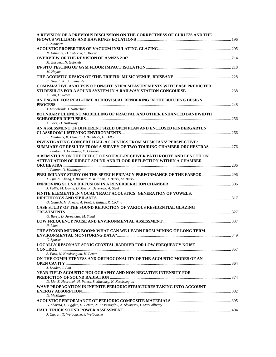| A. Zinoviev<br>N. Ashmore, D. Cabrera, C. Kocer<br>M. Burgess, N. Gabriels<br>M. Hayne<br>C. Hough, K. Burgemeister<br><b>COMPARATIVE ANALYSIS OF ON-SITE STIPA MEASUREMENTS WITH EASE PREDICTED</b><br>A. Lau, D. Rowe<br>AN ENGINE FOR REAL-TIME AUDIOVISUAL RENDERING IN THE BUILDING DESIGN<br>J. Lindebrink, J. Natterlund<br><b>BOUNDARY ELEMENT MODELLING OF FRACTAL AND OTHER ENHANCED BANDWIDTH</b><br>A. Lock, D. Holloway<br>AN ASSESSMENT OF DIFFERENT SIZED OPEN PLAN AND ENCLOSED KINDERGARTEN<br>K. Mealings, K. Demuth, J. Buchholz, H. Dillon<br>INVESTIGATING CONCERT HALL ACOUSTICS FROM MUSICIANS' PERSPECTIVE:<br><b>SUMMARY OF RESULTS FROM A SURVEY OF TWO TOURING CHAMBER ORCHESTRAS 276</b><br>L. Panton, D. Holloway, D. Cabrera<br>A BEM STUDY ON THE EFFECT OF SOURCE-RECEIVER PATH ROUTE AND LENGTH ON<br>ATTENUATION OF DIRECT SOUND AND FLOOR REFLECTION WITHIN A CHAMBER<br>L. Panton, D. Holloway<br><b>PRELIMINARY STUDY ON THE SPEECH PRIVACY PERFORMANCE OF THE FABPOD  296</b><br>X. Qiu, E. Cheng, I. Burnett, N. Williams, J. Burry, M. Burry<br>J. Vallis, M. Hayne, D. Mee, R. Devereux, A. Steel<br>FINITE ELEMENTS IN VOCAL TRACT ACOUSTICS: GENERATION OF VOWELS,<br>O. Gausch, M. Arnela, A. Pont, J. Baiges, R. Codina<br>CASE STUDY OF THE SOUND REDUCTION OF VARIOUS RESIDENTIAL GLAZING<br>G. Barry, D. Jurevicius, M. Stead<br>N. Ishac<br>THE SECOND MINING BOOM: WHAT CAN WE LEARN FROM MINING OF LONG TERM<br>349<br>C. Sparke<br><b>LOCALLY RESONANT SONIC CRYSTAL BARRIER FOR LOW FREQUENCY NOISE</b><br>S. Fard, N. Kessissoglou, H. Peters<br>ON THE COMPLETENESS AND ORTHOGONALITY OF THE ACOUSTIC MODES OF AN<br>J. Leader, J. Pan<br>NEAR-FIELD ACOUSTIC HOLOGRAPHY AND NON-NEGATIVE INTENSITY FOR<br>D. Liu, Z. Havranek, H. Peters, S. Marburg, N. Kessissoglou<br>WAVE PROPAGATION IN INFINITE PERIODIC STRUCTURES TAKING INTO ACCOUNT<br>D. McMahon<br>G. Sharma, D. Eggler, H. Peters, N. Kessissoglou, A. Skvortsov, I. MacGillivray<br>J. Curran, T. Welbourne, J. Welbourne | A REVISION OF A PREVIOUS DISCUSSION ON THE CORRECTNESS OF CURLE'S AND THE |  |
|-------------------------------------------------------------------------------------------------------------------------------------------------------------------------------------------------------------------------------------------------------------------------------------------------------------------------------------------------------------------------------------------------------------------------------------------------------------------------------------------------------------------------------------------------------------------------------------------------------------------------------------------------------------------------------------------------------------------------------------------------------------------------------------------------------------------------------------------------------------------------------------------------------------------------------------------------------------------------------------------------------------------------------------------------------------------------------------------------------------------------------------------------------------------------------------------------------------------------------------------------------------------------------------------------------------------------------------------------------------------------------------------------------------------------------------------------------------------------------------------------------------------------------------------------------------------------------------------------------------------------------------------------------------------------------------------------------------------------------------------------------------------------------------------------------------------------------------------------------------------------------------------------------------------------------------------------------------------------------------------------------------------------------------------------|---------------------------------------------------------------------------|--|
|                                                                                                                                                                                                                                                                                                                                                                                                                                                                                                                                                                                                                                                                                                                                                                                                                                                                                                                                                                                                                                                                                                                                                                                                                                                                                                                                                                                                                                                                                                                                                                                                                                                                                                                                                                                                                                                                                                                                                                                                                                                 |                                                                           |  |
|                                                                                                                                                                                                                                                                                                                                                                                                                                                                                                                                                                                                                                                                                                                                                                                                                                                                                                                                                                                                                                                                                                                                                                                                                                                                                                                                                                                                                                                                                                                                                                                                                                                                                                                                                                                                                                                                                                                                                                                                                                                 |                                                                           |  |
|                                                                                                                                                                                                                                                                                                                                                                                                                                                                                                                                                                                                                                                                                                                                                                                                                                                                                                                                                                                                                                                                                                                                                                                                                                                                                                                                                                                                                                                                                                                                                                                                                                                                                                                                                                                                                                                                                                                                                                                                                                                 |                                                                           |  |
|                                                                                                                                                                                                                                                                                                                                                                                                                                                                                                                                                                                                                                                                                                                                                                                                                                                                                                                                                                                                                                                                                                                                                                                                                                                                                                                                                                                                                                                                                                                                                                                                                                                                                                                                                                                                                                                                                                                                                                                                                                                 |                                                                           |  |
|                                                                                                                                                                                                                                                                                                                                                                                                                                                                                                                                                                                                                                                                                                                                                                                                                                                                                                                                                                                                                                                                                                                                                                                                                                                                                                                                                                                                                                                                                                                                                                                                                                                                                                                                                                                                                                                                                                                                                                                                                                                 |                                                                           |  |
|                                                                                                                                                                                                                                                                                                                                                                                                                                                                                                                                                                                                                                                                                                                                                                                                                                                                                                                                                                                                                                                                                                                                                                                                                                                                                                                                                                                                                                                                                                                                                                                                                                                                                                                                                                                                                                                                                                                                                                                                                                                 |                                                                           |  |
|                                                                                                                                                                                                                                                                                                                                                                                                                                                                                                                                                                                                                                                                                                                                                                                                                                                                                                                                                                                                                                                                                                                                                                                                                                                                                                                                                                                                                                                                                                                                                                                                                                                                                                                                                                                                                                                                                                                                                                                                                                                 |                                                                           |  |
|                                                                                                                                                                                                                                                                                                                                                                                                                                                                                                                                                                                                                                                                                                                                                                                                                                                                                                                                                                                                                                                                                                                                                                                                                                                                                                                                                                                                                                                                                                                                                                                                                                                                                                                                                                                                                                                                                                                                                                                                                                                 |                                                                           |  |
|                                                                                                                                                                                                                                                                                                                                                                                                                                                                                                                                                                                                                                                                                                                                                                                                                                                                                                                                                                                                                                                                                                                                                                                                                                                                                                                                                                                                                                                                                                                                                                                                                                                                                                                                                                                                                                                                                                                                                                                                                                                 |                                                                           |  |
|                                                                                                                                                                                                                                                                                                                                                                                                                                                                                                                                                                                                                                                                                                                                                                                                                                                                                                                                                                                                                                                                                                                                                                                                                                                                                                                                                                                                                                                                                                                                                                                                                                                                                                                                                                                                                                                                                                                                                                                                                                                 |                                                                           |  |
|                                                                                                                                                                                                                                                                                                                                                                                                                                                                                                                                                                                                                                                                                                                                                                                                                                                                                                                                                                                                                                                                                                                                                                                                                                                                                                                                                                                                                                                                                                                                                                                                                                                                                                                                                                                                                                                                                                                                                                                                                                                 |                                                                           |  |
|                                                                                                                                                                                                                                                                                                                                                                                                                                                                                                                                                                                                                                                                                                                                                                                                                                                                                                                                                                                                                                                                                                                                                                                                                                                                                                                                                                                                                                                                                                                                                                                                                                                                                                                                                                                                                                                                                                                                                                                                                                                 |                                                                           |  |
|                                                                                                                                                                                                                                                                                                                                                                                                                                                                                                                                                                                                                                                                                                                                                                                                                                                                                                                                                                                                                                                                                                                                                                                                                                                                                                                                                                                                                                                                                                                                                                                                                                                                                                                                                                                                                                                                                                                                                                                                                                                 |                                                                           |  |
|                                                                                                                                                                                                                                                                                                                                                                                                                                                                                                                                                                                                                                                                                                                                                                                                                                                                                                                                                                                                                                                                                                                                                                                                                                                                                                                                                                                                                                                                                                                                                                                                                                                                                                                                                                                                                                                                                                                                                                                                                                                 |                                                                           |  |
|                                                                                                                                                                                                                                                                                                                                                                                                                                                                                                                                                                                                                                                                                                                                                                                                                                                                                                                                                                                                                                                                                                                                                                                                                                                                                                                                                                                                                                                                                                                                                                                                                                                                                                                                                                                                                                                                                                                                                                                                                                                 |                                                                           |  |
|                                                                                                                                                                                                                                                                                                                                                                                                                                                                                                                                                                                                                                                                                                                                                                                                                                                                                                                                                                                                                                                                                                                                                                                                                                                                                                                                                                                                                                                                                                                                                                                                                                                                                                                                                                                                                                                                                                                                                                                                                                                 |                                                                           |  |
|                                                                                                                                                                                                                                                                                                                                                                                                                                                                                                                                                                                                                                                                                                                                                                                                                                                                                                                                                                                                                                                                                                                                                                                                                                                                                                                                                                                                                                                                                                                                                                                                                                                                                                                                                                                                                                                                                                                                                                                                                                                 |                                                                           |  |
|                                                                                                                                                                                                                                                                                                                                                                                                                                                                                                                                                                                                                                                                                                                                                                                                                                                                                                                                                                                                                                                                                                                                                                                                                                                                                                                                                                                                                                                                                                                                                                                                                                                                                                                                                                                                                                                                                                                                                                                                                                                 |                                                                           |  |
|                                                                                                                                                                                                                                                                                                                                                                                                                                                                                                                                                                                                                                                                                                                                                                                                                                                                                                                                                                                                                                                                                                                                                                                                                                                                                                                                                                                                                                                                                                                                                                                                                                                                                                                                                                                                                                                                                                                                                                                                                                                 |                                                                           |  |
|                                                                                                                                                                                                                                                                                                                                                                                                                                                                                                                                                                                                                                                                                                                                                                                                                                                                                                                                                                                                                                                                                                                                                                                                                                                                                                                                                                                                                                                                                                                                                                                                                                                                                                                                                                                                                                                                                                                                                                                                                                                 |                                                                           |  |
|                                                                                                                                                                                                                                                                                                                                                                                                                                                                                                                                                                                                                                                                                                                                                                                                                                                                                                                                                                                                                                                                                                                                                                                                                                                                                                                                                                                                                                                                                                                                                                                                                                                                                                                                                                                                                                                                                                                                                                                                                                                 |                                                                           |  |
|                                                                                                                                                                                                                                                                                                                                                                                                                                                                                                                                                                                                                                                                                                                                                                                                                                                                                                                                                                                                                                                                                                                                                                                                                                                                                                                                                                                                                                                                                                                                                                                                                                                                                                                                                                                                                                                                                                                                                                                                                                                 |                                                                           |  |
|                                                                                                                                                                                                                                                                                                                                                                                                                                                                                                                                                                                                                                                                                                                                                                                                                                                                                                                                                                                                                                                                                                                                                                                                                                                                                                                                                                                                                                                                                                                                                                                                                                                                                                                                                                                                                                                                                                                                                                                                                                                 |                                                                           |  |
|                                                                                                                                                                                                                                                                                                                                                                                                                                                                                                                                                                                                                                                                                                                                                                                                                                                                                                                                                                                                                                                                                                                                                                                                                                                                                                                                                                                                                                                                                                                                                                                                                                                                                                                                                                                                                                                                                                                                                                                                                                                 |                                                                           |  |
|                                                                                                                                                                                                                                                                                                                                                                                                                                                                                                                                                                                                                                                                                                                                                                                                                                                                                                                                                                                                                                                                                                                                                                                                                                                                                                                                                                                                                                                                                                                                                                                                                                                                                                                                                                                                                                                                                                                                                                                                                                                 |                                                                           |  |
|                                                                                                                                                                                                                                                                                                                                                                                                                                                                                                                                                                                                                                                                                                                                                                                                                                                                                                                                                                                                                                                                                                                                                                                                                                                                                                                                                                                                                                                                                                                                                                                                                                                                                                                                                                                                                                                                                                                                                                                                                                                 |                                                                           |  |
|                                                                                                                                                                                                                                                                                                                                                                                                                                                                                                                                                                                                                                                                                                                                                                                                                                                                                                                                                                                                                                                                                                                                                                                                                                                                                                                                                                                                                                                                                                                                                                                                                                                                                                                                                                                                                                                                                                                                                                                                                                                 |                                                                           |  |
|                                                                                                                                                                                                                                                                                                                                                                                                                                                                                                                                                                                                                                                                                                                                                                                                                                                                                                                                                                                                                                                                                                                                                                                                                                                                                                                                                                                                                                                                                                                                                                                                                                                                                                                                                                                                                                                                                                                                                                                                                                                 |                                                                           |  |
|                                                                                                                                                                                                                                                                                                                                                                                                                                                                                                                                                                                                                                                                                                                                                                                                                                                                                                                                                                                                                                                                                                                                                                                                                                                                                                                                                                                                                                                                                                                                                                                                                                                                                                                                                                                                                                                                                                                                                                                                                                                 |                                                                           |  |
|                                                                                                                                                                                                                                                                                                                                                                                                                                                                                                                                                                                                                                                                                                                                                                                                                                                                                                                                                                                                                                                                                                                                                                                                                                                                                                                                                                                                                                                                                                                                                                                                                                                                                                                                                                                                                                                                                                                                                                                                                                                 |                                                                           |  |
|                                                                                                                                                                                                                                                                                                                                                                                                                                                                                                                                                                                                                                                                                                                                                                                                                                                                                                                                                                                                                                                                                                                                                                                                                                                                                                                                                                                                                                                                                                                                                                                                                                                                                                                                                                                                                                                                                                                                                                                                                                                 |                                                                           |  |
|                                                                                                                                                                                                                                                                                                                                                                                                                                                                                                                                                                                                                                                                                                                                                                                                                                                                                                                                                                                                                                                                                                                                                                                                                                                                                                                                                                                                                                                                                                                                                                                                                                                                                                                                                                                                                                                                                                                                                                                                                                                 |                                                                           |  |
|                                                                                                                                                                                                                                                                                                                                                                                                                                                                                                                                                                                                                                                                                                                                                                                                                                                                                                                                                                                                                                                                                                                                                                                                                                                                                                                                                                                                                                                                                                                                                                                                                                                                                                                                                                                                                                                                                                                                                                                                                                                 |                                                                           |  |
|                                                                                                                                                                                                                                                                                                                                                                                                                                                                                                                                                                                                                                                                                                                                                                                                                                                                                                                                                                                                                                                                                                                                                                                                                                                                                                                                                                                                                                                                                                                                                                                                                                                                                                                                                                                                                                                                                                                                                                                                                                                 |                                                                           |  |
|                                                                                                                                                                                                                                                                                                                                                                                                                                                                                                                                                                                                                                                                                                                                                                                                                                                                                                                                                                                                                                                                                                                                                                                                                                                                                                                                                                                                                                                                                                                                                                                                                                                                                                                                                                                                                                                                                                                                                                                                                                                 |                                                                           |  |
|                                                                                                                                                                                                                                                                                                                                                                                                                                                                                                                                                                                                                                                                                                                                                                                                                                                                                                                                                                                                                                                                                                                                                                                                                                                                                                                                                                                                                                                                                                                                                                                                                                                                                                                                                                                                                                                                                                                                                                                                                                                 |                                                                           |  |
|                                                                                                                                                                                                                                                                                                                                                                                                                                                                                                                                                                                                                                                                                                                                                                                                                                                                                                                                                                                                                                                                                                                                                                                                                                                                                                                                                                                                                                                                                                                                                                                                                                                                                                                                                                                                                                                                                                                                                                                                                                                 |                                                                           |  |
|                                                                                                                                                                                                                                                                                                                                                                                                                                                                                                                                                                                                                                                                                                                                                                                                                                                                                                                                                                                                                                                                                                                                                                                                                                                                                                                                                                                                                                                                                                                                                                                                                                                                                                                                                                                                                                                                                                                                                                                                                                                 |                                                                           |  |
|                                                                                                                                                                                                                                                                                                                                                                                                                                                                                                                                                                                                                                                                                                                                                                                                                                                                                                                                                                                                                                                                                                                                                                                                                                                                                                                                                                                                                                                                                                                                                                                                                                                                                                                                                                                                                                                                                                                                                                                                                                                 |                                                                           |  |
|                                                                                                                                                                                                                                                                                                                                                                                                                                                                                                                                                                                                                                                                                                                                                                                                                                                                                                                                                                                                                                                                                                                                                                                                                                                                                                                                                                                                                                                                                                                                                                                                                                                                                                                                                                                                                                                                                                                                                                                                                                                 |                                                                           |  |
|                                                                                                                                                                                                                                                                                                                                                                                                                                                                                                                                                                                                                                                                                                                                                                                                                                                                                                                                                                                                                                                                                                                                                                                                                                                                                                                                                                                                                                                                                                                                                                                                                                                                                                                                                                                                                                                                                                                                                                                                                                                 |                                                                           |  |
|                                                                                                                                                                                                                                                                                                                                                                                                                                                                                                                                                                                                                                                                                                                                                                                                                                                                                                                                                                                                                                                                                                                                                                                                                                                                                                                                                                                                                                                                                                                                                                                                                                                                                                                                                                                                                                                                                                                                                                                                                                                 |                                                                           |  |
|                                                                                                                                                                                                                                                                                                                                                                                                                                                                                                                                                                                                                                                                                                                                                                                                                                                                                                                                                                                                                                                                                                                                                                                                                                                                                                                                                                                                                                                                                                                                                                                                                                                                                                                                                                                                                                                                                                                                                                                                                                                 |                                                                           |  |
|                                                                                                                                                                                                                                                                                                                                                                                                                                                                                                                                                                                                                                                                                                                                                                                                                                                                                                                                                                                                                                                                                                                                                                                                                                                                                                                                                                                                                                                                                                                                                                                                                                                                                                                                                                                                                                                                                                                                                                                                                                                 |                                                                           |  |
|                                                                                                                                                                                                                                                                                                                                                                                                                                                                                                                                                                                                                                                                                                                                                                                                                                                                                                                                                                                                                                                                                                                                                                                                                                                                                                                                                                                                                                                                                                                                                                                                                                                                                                                                                                                                                                                                                                                                                                                                                                                 |                                                                           |  |
|                                                                                                                                                                                                                                                                                                                                                                                                                                                                                                                                                                                                                                                                                                                                                                                                                                                                                                                                                                                                                                                                                                                                                                                                                                                                                                                                                                                                                                                                                                                                                                                                                                                                                                                                                                                                                                                                                                                                                                                                                                                 |                                                                           |  |
|                                                                                                                                                                                                                                                                                                                                                                                                                                                                                                                                                                                                                                                                                                                                                                                                                                                                                                                                                                                                                                                                                                                                                                                                                                                                                                                                                                                                                                                                                                                                                                                                                                                                                                                                                                                                                                                                                                                                                                                                                                                 |                                                                           |  |
|                                                                                                                                                                                                                                                                                                                                                                                                                                                                                                                                                                                                                                                                                                                                                                                                                                                                                                                                                                                                                                                                                                                                                                                                                                                                                                                                                                                                                                                                                                                                                                                                                                                                                                                                                                                                                                                                                                                                                                                                                                                 |                                                                           |  |
|                                                                                                                                                                                                                                                                                                                                                                                                                                                                                                                                                                                                                                                                                                                                                                                                                                                                                                                                                                                                                                                                                                                                                                                                                                                                                                                                                                                                                                                                                                                                                                                                                                                                                                                                                                                                                                                                                                                                                                                                                                                 |                                                                           |  |
|                                                                                                                                                                                                                                                                                                                                                                                                                                                                                                                                                                                                                                                                                                                                                                                                                                                                                                                                                                                                                                                                                                                                                                                                                                                                                                                                                                                                                                                                                                                                                                                                                                                                                                                                                                                                                                                                                                                                                                                                                                                 |                                                                           |  |
|                                                                                                                                                                                                                                                                                                                                                                                                                                                                                                                                                                                                                                                                                                                                                                                                                                                                                                                                                                                                                                                                                                                                                                                                                                                                                                                                                                                                                                                                                                                                                                                                                                                                                                                                                                                                                                                                                                                                                                                                                                                 |                                                                           |  |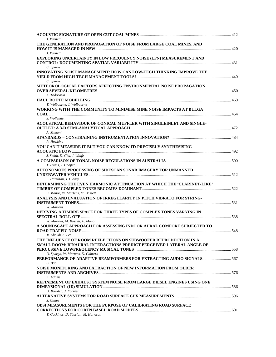| J. Parnell                                                             |  |
|------------------------------------------------------------------------|--|
| THE GENERATION AND PROPAGATION OF NOISE FROM LARGE COAL MINES, AND     |  |
|                                                                        |  |
| J. Parnell                                                             |  |
| EXPLORING UNCERTAINTY IN LOW FREQUENCY NOISE (LFN) MEASUREMENT AND     |  |
|                                                                        |  |
| C. Sparke                                                              |  |
| INNOVATING NOISE MANAGEMENT: HOW CAN LOW-TECH THINKING IMPROVE THE     |  |
|                                                                        |  |
| C. Sparke                                                              |  |
| METEOROLOGICAL FACTORS AFFECTING ENVIRONMENTAL NOISE PROPAGATION       |  |
|                                                                        |  |
| A. Todoroski                                                           |  |
|                                                                        |  |
| T. Welbourne, J. Welbourne                                             |  |
| WORKING WITH THE COMMUNITY TO MINIMISE MINE NOISE IMPACTS AT BULGA     |  |
|                                                                        |  |
| S. Wolfenden                                                           |  |
| ACOUSTICAL BEHAVIOUR OF CONICAL MUFFLER WITH SINGLEINLET AND SINGLE-   |  |
|                                                                        |  |
| A. Mimani                                                              |  |
|                                                                        |  |
| R. Hawkins                                                             |  |
|                                                                        |  |
| YOU CAN'T MEASURE IT BUT YOU CAN KNOW IT: PRECISELY SYNTHESISING       |  |
|                                                                        |  |
| J. Smith, D. Chu, J. Wolfe                                             |  |
|                                                                        |  |
| T. Evans, J. Cooper                                                    |  |
| AUTONOMOUS PROCESSING OF SIDESCAN SONAR IMAGERY FOR UNMANNED           |  |
|                                                                        |  |
| L. Hamilton, J. Cleary                                                 |  |
| DETERMINING THE EVEN HARMONIC ATTENUATION AT WHICH THE 'CLARINET-LIKE' |  |
|                                                                        |  |
| E. Manor, W. Martens, M. Bassett                                       |  |
| ANALYSIS AND EVALUATION OF IRREGULARITY IN PITCH VIBRATO FOR STRING-   |  |
|                                                                        |  |
| W. Martens                                                             |  |
| DERIVING A TIMBRE SPACE FOR THREE TYPES OF COMPLEX TONES VARYING IN    |  |
|                                                                        |  |
| W. Martens, M. Bassett, E. Manor                                       |  |
| A SOUNDSCAPE APPROACH FOR ASSESSING INDOOR AURAL COMFORT SUBJECTED TO  |  |
|                                                                        |  |
| M. Sheikh, S. Lee                                                      |  |
| THE INFLUENCE OF ROOM REFLECTIONS ON SUBWOOFER REPRODUCTION IN A       |  |
| SMALL ROOM: BINAURAL INTERACTIONS PREDICT PERCEIVED LATERAL ANGLE OF   |  |
|                                                                        |  |
| D. Spargo, W. Martens, D. Cabrera                                      |  |
| PERFORMANCE OF ADAPTIVE BEAMFORMERS FOR EXTRACTING AUDIO SIGNALS 567   |  |
| C. Bao                                                                 |  |
|                                                                        |  |
| NOISE MONITORING AND EXTRACTION OF NEW INFORMATION FROM OLDER          |  |
|                                                                        |  |
| K. Adams                                                               |  |
| REFINEMENT OF EXHAUST SYSTEM NOISE FROM LARGE DIESEL ENGINES USING ONE |  |
|                                                                        |  |
| D. Bowden, J. Forrest                                                  |  |
|                                                                        |  |
| S. Chiles                                                              |  |
| <b>OBSI MEASUREMENTS FOR THE PURPOSE OF CALIBRATING ROAD SURFACE</b>   |  |
|                                                                        |  |
| T. Cockings, D. Sburlati, M. Harrison                                  |  |
|                                                                        |  |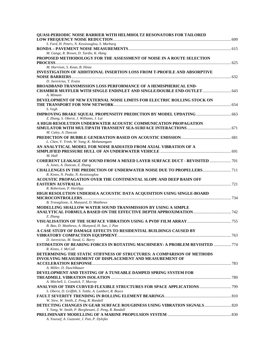| QUASI-PERIODIC NOISE BARRIER WITH HELMHOLTZ RESONATORS FOR TAILORED                 |  |
|-------------------------------------------------------------------------------------|--|
|                                                                                     |  |
| S. Fard, H. Peters, N. Kessissoglou, S. Marburg                                     |  |
|                                                                                     |  |
| M. Gange, R. Brown, D. Tardio, K. Hang                                              |  |
| PROPOSED METHODOLOGY FOR THE ASSESSMENT OF NOISE IN A ROUTE SELECTION               |  |
|                                                                                     |  |
| M. Harrison, S. Kean, B. Hinze                                                      |  |
| INVESTIGATION OF ADDITIONAL INSERTION LOSS FROM T-PROFILE AND ABSORPTIVE            |  |
| D. Jurevicius, T. Evans                                                             |  |
| <b>BROADBAND TRANSMISSION LOSS PERFORMANCE OF A HEMISPHERICAL END-</b>              |  |
|                                                                                     |  |
| A. Mimani                                                                           |  |
| DEVELOPMENT OF NEW EXTERNAL NOISE LIMITS FOR ELECTRIC ROLLING STOCK ON              |  |
|                                                                                     |  |
| S. Vegh                                                                             |  |
| <b>IMPROVING BRAKE SQUEAL PROPENSITIY PREDICTION BY MODEL UPDATING  663</b>         |  |
| Z. Zhang, S. Oberst, J. Williams, J. Lai                                            |  |
| A HIGH-RESOLUTION UNDERWATER ACOUSTIC COMMUNICATION PROPAGATION                     |  |
|                                                                                     |  |
| M. Caley, A. Duncan                                                                 |  |
|                                                                                     |  |
| L. Chen, V. Trinh, W. Yang, K. Mohanangam                                           |  |
| AN ANALYTICAL MODEL FOR NOISE RADIATED FROM AXIAL VIBRATION OF A                    |  |
|                                                                                     |  |
| M. Hall                                                                             |  |
| <b>COHERENT LEAKAGE OF SOUND FROM A MIXED LAYER SURFACE DUCT - REVISITED  701</b>   |  |
| A. Jones, A. Duncan, Z. Zhang                                                       |  |
| <b>CHALLENGES IN THE PREDICTION OF UNDERWATER NOISE DUE TO PROPELLERS</b> 711       |  |
| R. Kinns, N. Peake, N. Kessissoglou                                                 |  |
| ACOUSTIC PROPAGATION OVER THE CONTINENTAL SLOPE AND DEEP BASIN OFF                  |  |
|                                                                                     |  |
| R. Robertson, P. Hartlipp                                                           |  |
| HIGH RESOLUTION UNDERSEA ACOUSTIC DATA ACQUISITION USING SINGLE-BOARD               |  |
|                                                                                     |  |
| B. Travaglione, A. Munyard, D. Matthews                                             |  |
| MODELLING SHALLOW WATER SOUND TRANSMISSION BY USING A SIMPLE                        |  |
| Z. Zhang                                                                            |  |
|                                                                                     |  |
| B. Bao, D. Matthews, A. Munyard, H. Sun, J. Pan                                     |  |
| A CASE STUDY OF DAMAGE EFFECTS TO RESIDENTIAL BUILDINGS CAUSED BY                   |  |
|                                                                                     |  |
| D. Jurevicius, M. Stead, G. Barry                                                   |  |
| <b>ESTIMATION OF BEARING FORCES IN ROTATING MACHINERY: A PROBLEM REVISITED  774</b> |  |
| R. Kinns, J. McColl                                                                 |  |
| DETERMINING THE STATIC STIFFNESS OF STRUCTURES: A COMPARISON OF METHODS             |  |
| <b>INVOLVING MEASUREMENT OF DISPLACEMENT AND MEASUREMENT OF</b>                     |  |
|                                                                                     |  |
| A. Miller, D. Duschlbauer                                                           |  |
| DEVELOPMENT AND TESTING OF A TUNEABLE DAMPED SPRING SYSTEM FOR                      |  |
|                                                                                     |  |
| A. Mitchell, L. Cosstick, T. Murray                                                 |  |
| ANALYSIS OF THIN CURVED FLEXIBLE STRUCTURES FOR SPACE APPLICATIONS  799             |  |
| S. Oberst, D. Griffith, S. Tuttle, A. Lambert, R. Boyce                             |  |
|                                                                                     |  |
| W. Siew, W. Smith, Z. Peng, R. Randall                                              |  |
| <b>DETECTING CHANGES IN GEAR SURFACE ROUGHNESS USING VIBRATION SIGNALS 820</b>      |  |
| Y. Yang, W. Smith, P. Borghesani, Z. Peng, R. Randall                               |  |
|                                                                                     |  |
| A. Youssef, A. Guzzomi, J. Pan, P. Dylejko                                          |  |